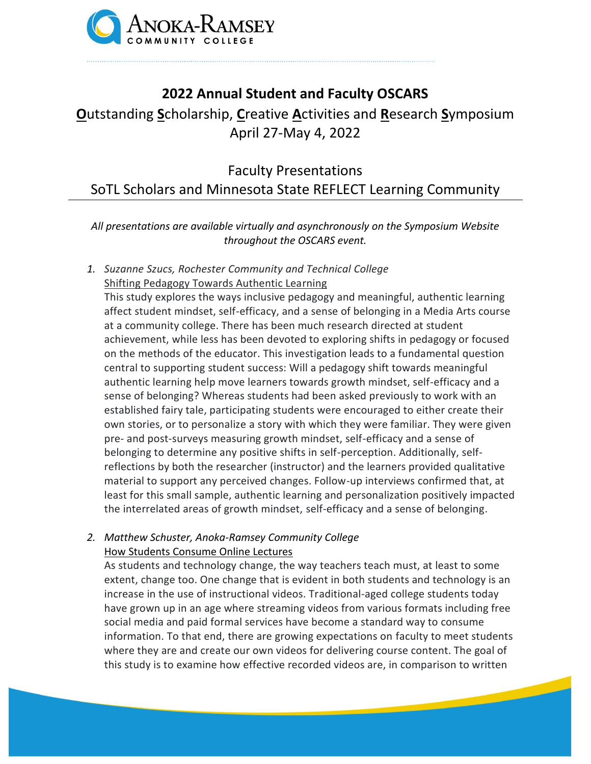

## **2022 Annual Student and Faculty OSCARS**

# **O**utstanding **S**cholarship, **C**reative **A**ctivities and **R**esearch **S**ymposium April 27-May 4, 2022

Faculty Presentations SoTL Scholars and Minnesota State REFLECT Learning Community

*All presentations are available virtually and asynchronously on the Symposium Website throughout the OSCARS event.*

*1. Suzanne Szucs, Rochester Community and Technical College* Shifting Pedagogy Towards Authentic Learning

This study explores the ways inclusive pedagogy and meaningful, authentic learning affect student mindset, self-efficacy, and a sense of belonging in a Media Arts course at a community college. There has been much research directed at student achievement, while less has been devoted to exploring shifts in pedagogy or focused on the methods of the educator. This investigation leads to a fundamental question central to supporting student success: Will a pedagogy shift towards meaningful authentic learning help move learners towards growth mindset, self-efficacy and a sense of belonging? Whereas students had been asked previously to work with an established fairy tale, participating students were encouraged to either create their own stories, or to personalize a story with which they were familiar. They were given pre- and post-surveys measuring growth mindset, self-efficacy and a sense of belonging to determine any positive shifts in self-perception. Additionally, selfreflections by both the researcher (instructor) and the learners provided qualitative material to support any perceived changes. Follow-up interviews confirmed that, at least for this small sample, authentic learning and personalization positively impacted the interrelated areas of growth mindset, self-efficacy and a sense of belonging.

## *2. Matthew Schuster, Anoka-Ramsey Community College* How Students Consume Online Lectures

As students and technology change, the way teachers teach must, at least to some extent, change too. One change that is evident in both students and technology is an increase in the use of instructional videos. Traditional-aged college students today have grown up in an age where streaming videos from various formats including free social media and paid formal services have become a standard way to consume information. To that end, there are growing expectations on faculty to meet students where they are and create our own videos for delivering course content. The goal of this study is to examine how effective recorded videos are, in comparison to written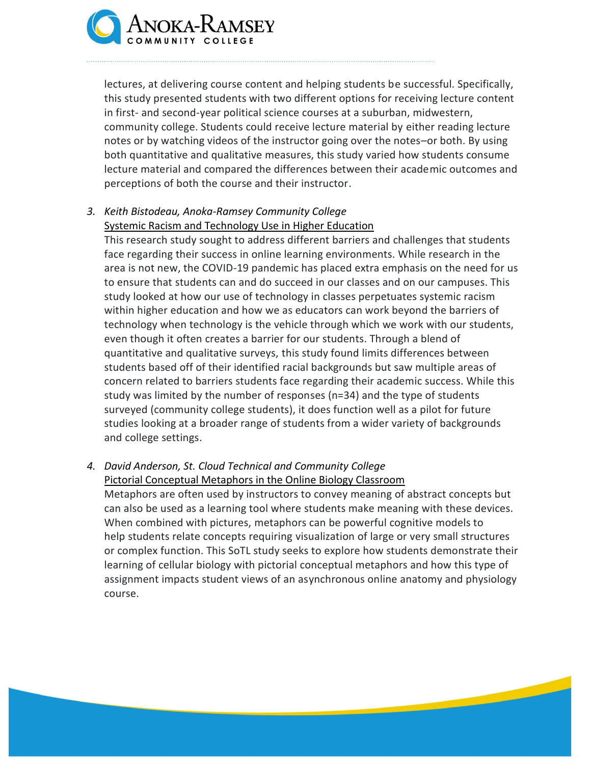

lectures, at delivering course content and helping students be successful. Specifically, this study presented students with two different options for receiving lecture content in first- and second-year political science courses at a suburban, midwestern, community college. Students could receive lecture material by either reading lecture notes or by watching videos of the instructor going over the notes–or both. By using both quantitative and qualitative measures, this study varied how students consume lecture material and compared the differences between their academic outcomes and perceptions of both the course and their instructor.

## *3. Keith Bistodeau, Anoka-Ramsey Community College* Systemic Racism and Technology Use in Higher Education

This research study sought to address different barriers and challenges that students face regarding their success in online learning environments. While research in the area is not new, the COVID-19 pandemic has placed extra emphasis on the need for us to ensure that students can and do succeed in our classes and on our campuses. This study looked at how our use of technology in classes perpetuates systemic racism within higher education and how we as educators can work beyond the barriers of technology when technology is the vehicle through which we work with our students, even though it often creates a barrier for our students. Through a blend of quantitative and qualitative surveys, this study found limits differences between students based off of their identified racial backgrounds but saw multiple areas of concern related to barriers students face regarding their academic success. While this study was limited by the number of responses (n=34) and the type of students surveyed (community college students), it does function well as a pilot for future studies looking at a broader range of students from a wider variety of backgrounds and college settings.

#### *4. David Anderson, St. Cloud Technical and Community College* Pictorial Conceptual Metaphors in the Online Biology Classroom

Metaphors are often used by instructors to convey meaning of abstract concepts but can also be used as a learning tool where students make meaning with these devices. When combined with pictures, metaphors can be powerful cognitive models to help students relate concepts requiring visualization of large or very small structures or complex function. This SoTL study seeks to explore how students demonstrate their learning of cellular biology with pictorial conceptual metaphors and how this type of assignment impacts student views of an asynchronous online anatomy and physiology course.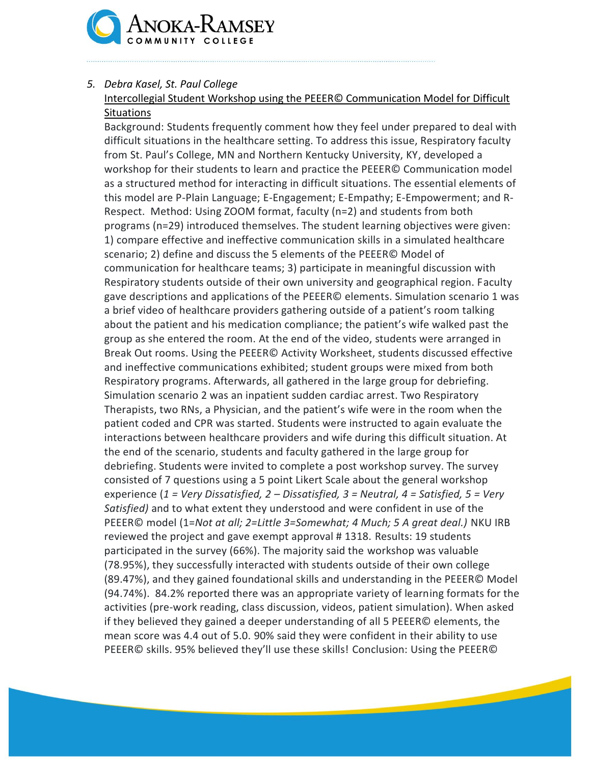

### *5. Debra Kasel, St. Paul College*

## Intercollegial Student Workshop using the PEEER© Communication Model for Difficult **Situations**

Background: Students frequently comment how they feel under prepared to deal with difficult situations in the healthcare setting. To address this issue, Respiratory faculty from St. Paul's College, MN and Northern Kentucky University, KY, developed a workshop for their students to learn and practice the PEEER© Communication model as a structured method for interacting in difficult situations. The essential elements of this model are P-Plain Language; E-Engagement; E-Empathy; E-Empowerment; and R-Respect. Method: Using ZOOM format, faculty (n=2) and students from both programs (n=29) introduced themselves. The student learning objectives were given: 1) compare effective and ineffective communication skills in a simulated healthcare scenario; 2) define and discuss the 5 elements of the PEEER© Model of communication for healthcare teams; 3) participate in meaningful discussion with Respiratory students outside of their own university and geographical region. Faculty gave descriptions and applications of the PEEER© elements. Simulation scenario 1 was a brief video of healthcare providers gathering outside of a patient's room talking about the patient and his medication compliance; the patient's wife walked past the group as she entered the room. At the end of the video, students were arranged in Break Out rooms. Using the PEEER© Activity Worksheet, students discussed effective and ineffective communications exhibited; student groups were mixed from both Respiratory programs. Afterwards, all gathered in the large group for debriefing. Simulation scenario 2 was an inpatient sudden cardiac arrest. Two Respiratory Therapists, two RNs, a Physician, and the patient's wife were in the room when the patient coded and CPR was started. Students were instructed to again evaluate the interactions between healthcare providers and wife during this difficult situation. At the end of the scenario, students and faculty gathered in the large group for debriefing. Students were invited to complete a post workshop survey. The survey consisted of 7 questions using a 5 point Likert Scale about the general workshop experience (*1 = Very Dissatisfied, 2 – Dissatisfied, 3 = Neutral, 4 = Satisfied, 5 = Very Satisfied)* and to what extent they understood and were confident in use of the PEEER© model (1=*Not at all; 2=Little 3=Somewhat; 4 Much; 5 A great deal.)* NKU IRB reviewed the project and gave exempt approval # 1318. Results: 19 students participated in the survey (66%). The majority said the workshop was valuable (78.95%), they successfully interacted with students outside of their own college (89.47%), and they gained foundational skills and understanding in the PEEER© Model (94.74%). 84.2% reported there was an appropriate variety of learning formats for the activities (pre-work reading, class discussion, videos, patient simulation). When asked if they believed they gained a deeper understanding of all 5 PEEER© elements, the mean score was 4.4 out of 5.0. 90% said they were confident in their ability to use PEEER© skills. 95% believed they'll use these skills! Conclusion: Using the PEEER©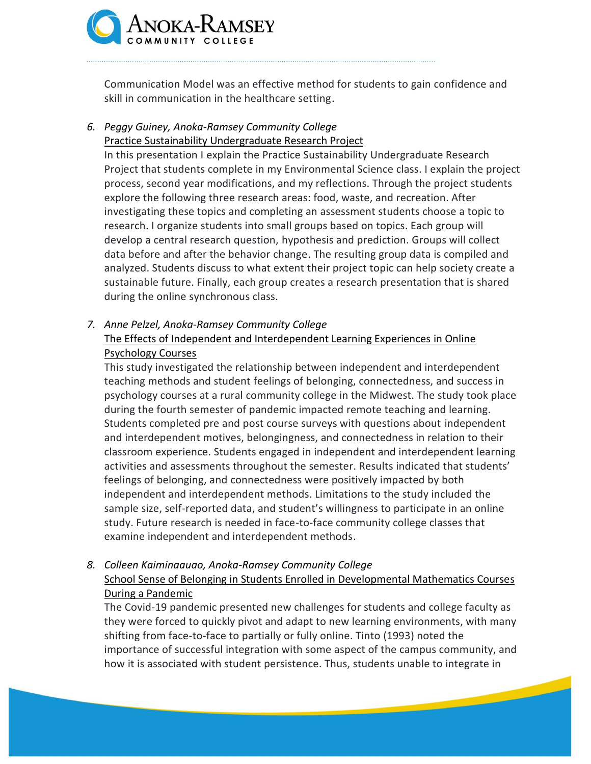

Communication Model was an effective method for students to gain confidence and skill in communication in the healthcare setting.

#### *6. Peggy Guiney, Anoka-Ramsey Community College* Practice Sustainability Undergraduate Research Project

In this presentation I explain the Practice Sustainability Undergraduate Research Project that students complete in my Environmental Science class. I explain the project process, second year modifications, and my reflections. Through the project students explore the following three research areas: food, waste, and recreation. After investigating these topics and completing an assessment students choose a topic to research. I organize students into small groups based on topics. Each group will develop a central research question, hypothesis and prediction. Groups will collect data before and after the behavior change. The resulting group data is compiled and analyzed. Students discuss to what extent their project topic can help society create a sustainable future. Finally, each group creates a research presentation that is shared during the online synchronous class.

## *7. Anne Pelzel, Anoka-Ramsey Community College* The Effects of Independent and Interdependent Learning Experiences in Online Psychology Courses

This study investigated the relationship between independent and interdependent teaching methods and student feelings of belonging, connectedness, and success in psychology courses at a rural community college in the Midwest. The study took place during the fourth semester of pandemic impacted remote teaching and learning. Students completed pre and post course surveys with questions about independent and interdependent motives, belongingness, and connectedness in relation to their classroom experience. Students engaged in independent and interdependent learning activities and assessments throughout the semester. Results indicated that students' feelings of belonging, and connectedness were positively impacted by both independent and interdependent methods. Limitations to the study included the sample size, self-reported data, and student's willingness to participate in an online study. Future research is needed in face-to-face community college classes that examine independent and interdependent methods.

## *8. Colleen Kaiminaauao, Anoka-Ramsey Community College* School Sense of Belonging in Students Enrolled in Developmental Mathematics Courses During a Pandemic

The Covid-19 pandemic presented new challenges for students and college faculty as they were forced to quickly pivot and adapt to new learning environments, with many shifting from face-to-face to partially or fully online. Tinto (1993) noted the importance of successful integration with some aspect of the campus community, and how it is associated with student persistence. Thus, students unable to integrate in